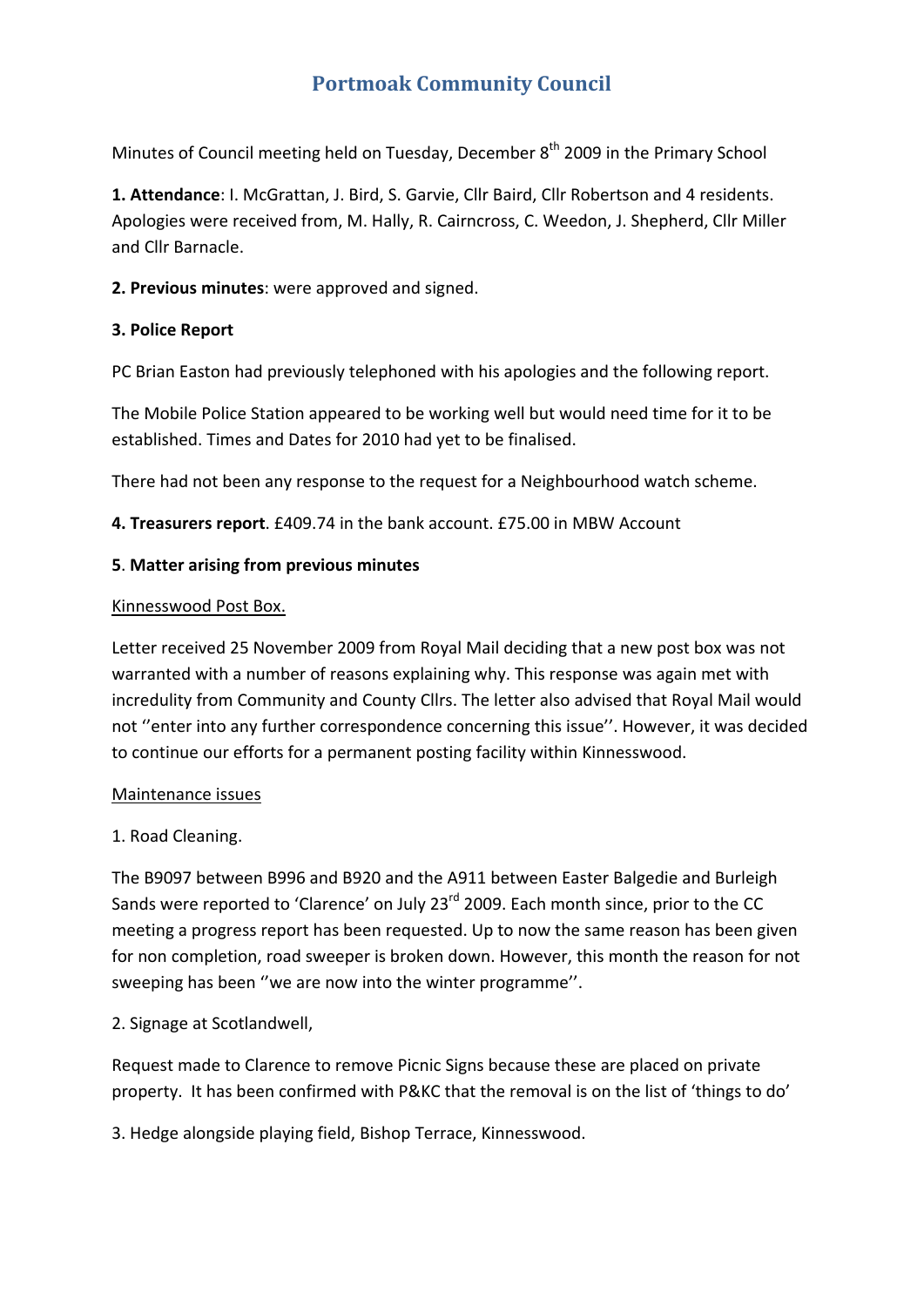### **Portmoak Community Council**

Minutes of Council meeting held on Tuesday, December  $8<sup>th</sup>$  2009 in the Primary School

**1. Attendance**: I. McGrattan, J. Bird, S. Garvie, Cllr Baird, Cllr Robertson and 4 residents. Apologies were received from, M. Hally, R. Cairncross, C. Weedon, J. Shepherd, Cllr Miller and Cllr Barnacle.

**2. Previous minutes**: were approved and signed.

#### **3. Police Report**

PC Brian Easton had previously telephoned with his apologies and the following report.

The Mobile Police Station appeared to be working well but would need time for it to be established. Times and Dates for 2010 had yet to be finalised.

There had not been any response to the request for a Neighbourhood watch scheme.

**4. Treasurers report**. £409.74 in the bank account. £75.00 in MBW Account

#### **5**. **Matter arising from previous minutes**

#### Kinnesswood Post Box.

Letter received 25 November 2009 from Royal Mail deciding that a new post box was not warranted with a number of reasons explaining why. This response was again met with incredulity from Community and County Cllrs. The letter also advised that Royal Mail would not ''enter into any further correspondence concerning this issue''. However, it was decided to continue our efforts for a permanent posting facility within Kinnesswood.

#### Maintenance issues

#### 1. Road Cleaning.

The B9097 between B996 and B920 and the A911 between Easter Balgedie and Burleigh Sands were reported to 'Clarence' on July 23<sup>rd</sup> 2009. Each month since, prior to the CC meeting a progress report has been requested. Up to now the same reason has been given for non completion, road sweeper is broken down. However, this month the reason for not sweeping has been ''we are now into the winter programme''.

#### 2. Signage at Scotlandwell,

Request made to Clarence to remove Picnic Signs because these are placed on private property. It has been confirmed with P&KC that the removal is on the list of 'things to do'

3. Hedge alongside playing field, Bishop Terrace, Kinnesswood.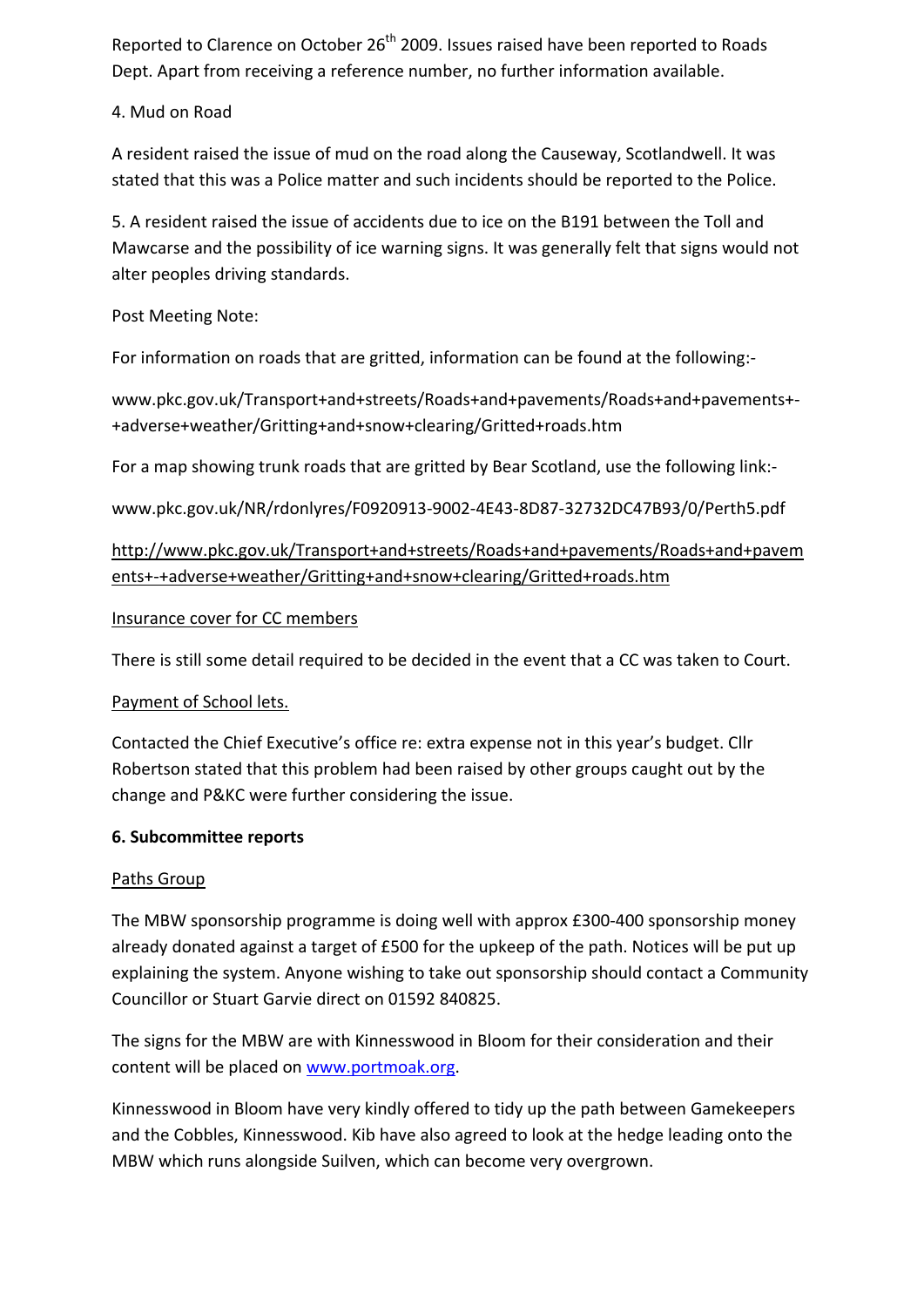Reported to Clarence on October 26<sup>th</sup> 2009. Issues raised have been reported to Roads Dept. Apart from receiving a reference number, no further information available.

#### 4. Mud on Road

A resident raised the issue of mud on the road along the Causeway, Scotlandwell. It was stated that this was a Police matter and such incidents should be reported to the Police.

5. A resident raised the issue of accidents due to ice on the B191 between the Toll and Mawcarse and the possibility of ice warning signs. It was generally felt that signs would not alter peoples driving standards.

Post Meeting Note:

For information on roads that are gritted, information can be found at the following:‐

www.pkc.gov.uk/Transport+and+streets/Roads+and+pavements/Roads+and+pavements+‐ +adverse+weather/Gritting+and+snow+clearing/Gritted+roads.htm

For a map showing trunk roads that are gritted by Bear Scotland, use the following link:‐

www.pkc.gov.uk/NR/rdonlyres/F0920913‐9002‐4E43‐8D87‐32732DC47B93/0/Perth5.pdf

http://www.pkc.gov.uk/Transport+and+streets/Roads+and+pavements/Roads+and+pavem ents+‐+adverse+weather/Gritting+and+snow+clearing/Gritted+roads.htm

#### Insurance cover for CC members

There is still some detail required to be decided in the event that a CC was taken to Court.

#### Payment of School lets.

Contacted the Chief Executive's office re: extra expense not in this year's budget. Cllr Robertson stated that this problem had been raised by other groups caught out by the change and P&KC were further considering the issue.

#### **6. Subcommittee reports**

#### Paths Group

The MBW sponsorship programme is doing well with approx £300‐400 sponsorship money already donated against a target of £500 for the upkeep of the path. Notices will be put up explaining the system. Anyone wishing to take out sponsorship should contact a Community Councillor or Stuart Garvie direct on 01592 840825.

The signs for the MBW are with Kinnesswood in Bloom for their consideration and their content will be placed on www.portmoak.org.

Kinnesswood in Bloom have very kindly offered to tidy up the path between Gamekeepers and the Cobbles, Kinnesswood. Kib have also agreed to look at the hedge leading onto the MBW which runs alongside Suilven, which can become very overgrown.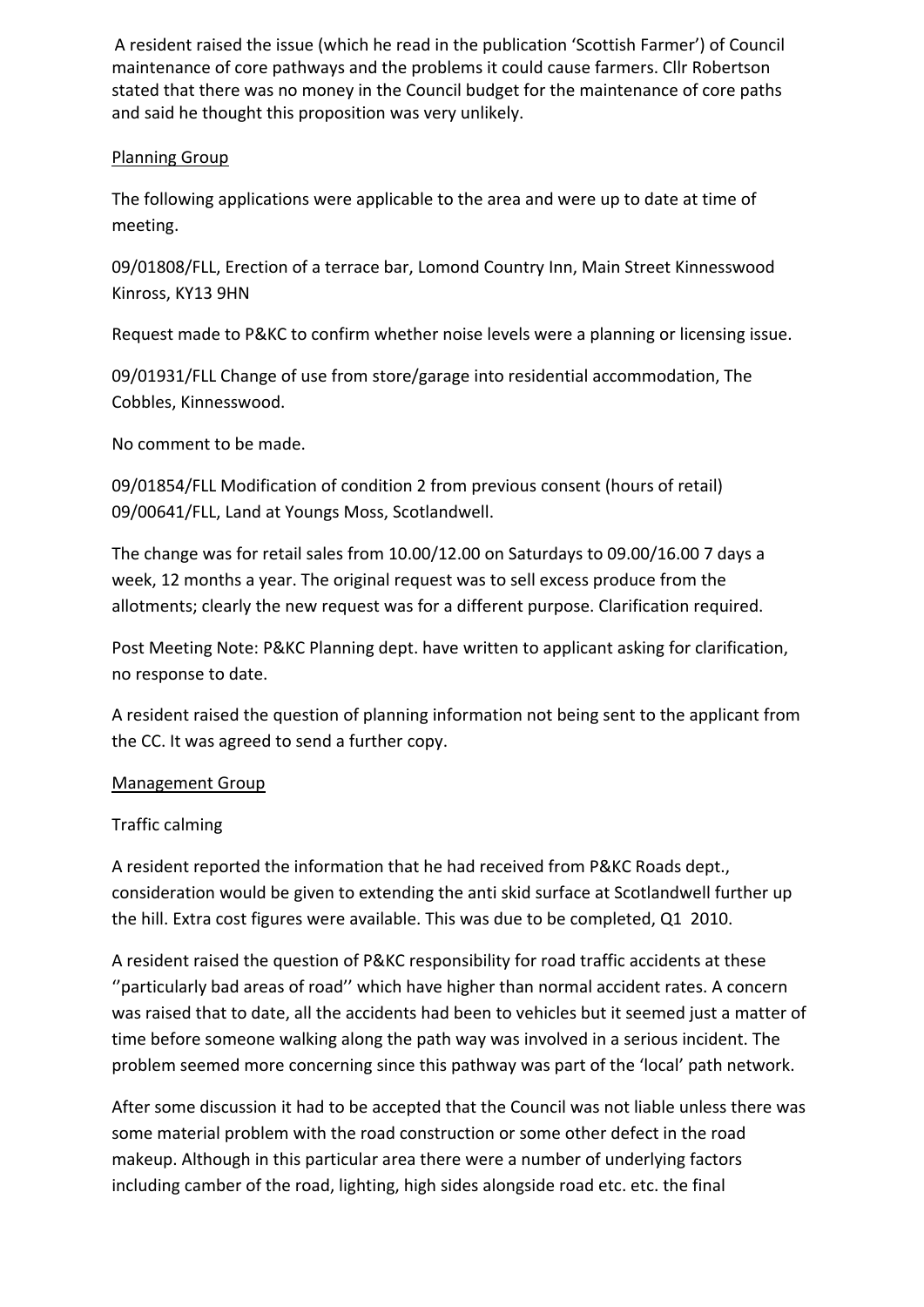A resident raised the issue (which he read in the publication 'Scottish Farmer') of Council maintenance of core pathways and the problems it could cause farmers. Cllr Robertson stated that there was no money in the Council budget for the maintenance of core paths and said he thought this proposition was very unlikely.

#### Planning Group

The following applications were applicable to the area and were up to date at time of meeting.

09/01808/FLL, Erection of a terrace bar, Lomond Country Inn, Main Street Kinnesswood Kinross, KY13 9HN

Request made to P&KC to confirm whether noise levels were a planning or licensing issue.

09/01931/FLL Change of use from store/garage into residential accommodation, The Cobbles, Kinnesswood.

No comment to be made.

09/01854/FLL Modification of condition 2 from previous consent (hours of retail) 09/00641/FLL, Land at Youngs Moss, Scotlandwell.

The change was for retail sales from 10.00/12.00 on Saturdays to 09.00/16.00 7 days a week, 12 months a year. The original request was to sell excess produce from the allotments; clearly the new request was for a different purpose. Clarification required.

Post Meeting Note: P&KC Planning dept. have written to applicant asking for clarification, no response to date.

A resident raised the question of planning information not being sent to the applicant from the CC. It was agreed to send a further copy.

#### Management Group

#### Traffic calming

A resident reported the information that he had received from P&KC Roads dept., consideration would be given to extending the anti skid surface at Scotlandwell further up the hill. Extra cost figures were available. This was due to be completed, Q1 2010.

A resident raised the question of P&KC responsibility for road traffic accidents at these ''particularly bad areas of road'' which have higher than normal accident rates. A concern was raised that to date, all the accidents had been to vehicles but it seemed just a matter of time before someone walking along the path way was involved in a serious incident. The problem seemed more concerning since this pathway was part of the 'local' path network.

After some discussion it had to be accepted that the Council was not liable unless there was some material problem with the road construction or some other defect in the road makeup. Although in this particular area there were a number of underlying factors including camber of the road, lighting, high sides alongside road etc. etc. the final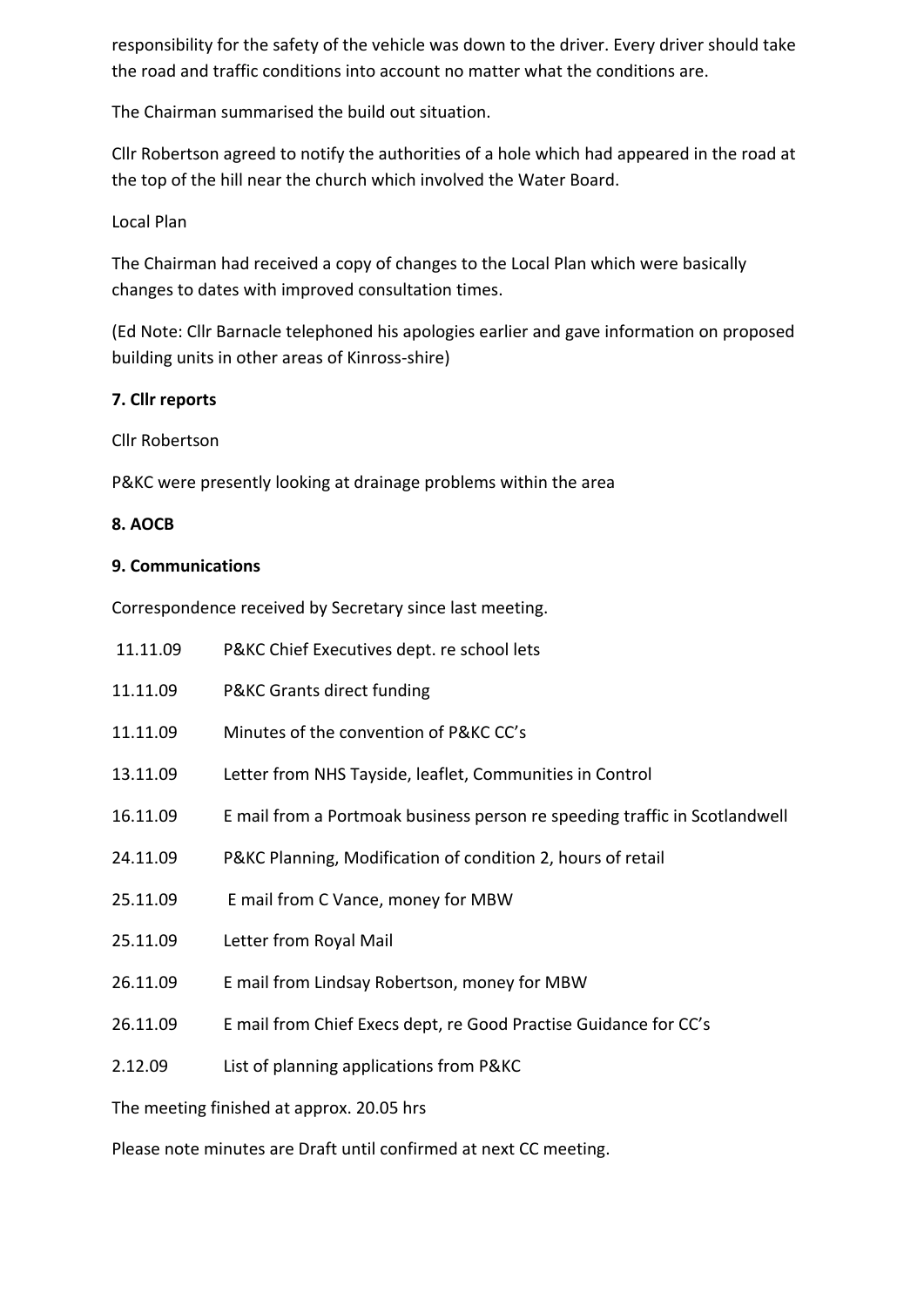responsibility for the safety of the vehicle was down to the driver. Every driver should take the road and traffic conditions into account no matter what the conditions are.

The Chairman summarised the build out situation.

Cllr Robertson agreed to notify the authorities of a hole which had appeared in the road at the top of the hill near the church which involved the Water Board.

#### Local Plan

The Chairman had received a copy of changes to the Local Plan which were basically changes to dates with improved consultation times.

(Ed Note: Cllr Barnacle telephoned his apologies earlier and gave information on proposed building units in other areas of Kinross‐shire)

#### **7. Cllr reports**

Cllr Robertson

P&KC were presently looking at drainage problems within the area

#### **8. AOCB**

#### **9. Communications**

Correspondence received by Secretary since last meeting.

| 11.11.09                                  | P&KC Chief Executives dept. re school lets                                 |
|-------------------------------------------|----------------------------------------------------------------------------|
| 11.11.09                                  | P&KC Grants direct funding                                                 |
| 11.11.09                                  | Minutes of the convention of P&KC CC's                                     |
| 13.11.09                                  | Letter from NHS Tayside, leaflet, Communities in Control                   |
| 16.11.09                                  | E mail from a Portmoak business person re speeding traffic in Scotlandwell |
| 24.11.09                                  | P&KC Planning, Modification of condition 2, hours of retail                |
| 25.11.09                                  | E mail from C Vance, money for MBW                                         |
| 25.11.09                                  | Letter from Royal Mail                                                     |
| 26.11.09                                  | E mail from Lindsay Robertson, money for MBW                               |
| 26.11.09                                  | E mail from Chief Execs dept, re Good Practise Guidance for CC's           |
| 2.12.09                                   | List of planning applications from P&KC                                    |
| The meeting finished at approx. 20.05 hrs |                                                                            |

Please note minutes are Draft until confirmed at next CC meeting.